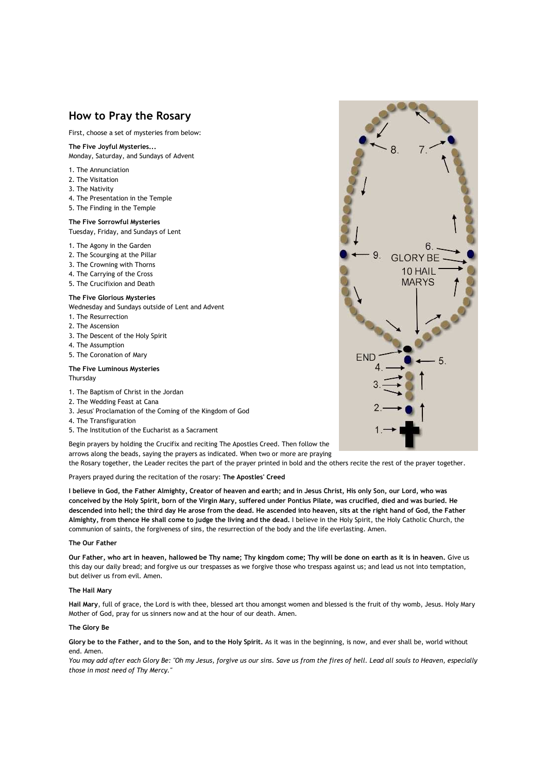# **How to Pray the Rosary**

First, choose a set of mysteries from below:

# **The Five Joyful Mysteries...**

Monday, Saturday, and Sundays of Advent

- 1. The Annunciation
- 2. The Visitation
- 3. The Nativity
- 4. The Presentation in the Temple
- 5. The Finding in the Temple

### **The Five Sorrowful Mysteries** Tuesday, Friday, and Sundays of Lent

1. The Agony in the Garden

- 2. The Scourging at the Pillar
- 3. The Crowning with Thorns
- 4. The Carrying of the Cross
- 5. The Crucifixion and Death

### **The Five Glorious Mysteries**

Wednesday and Sundays outside of Lent and Advent

- 1. The Resurrection
- 2. The Ascension
- 3. The Descent of the Holy Spirit
- 4. The Assumption
- 5. The Coronation of Mary

### **The Five Luminous Mysteries** Thursday

- 1. The Baptism of Christ in the Jordan
- 2. The Wedding Feast at Cana
- 3. Jesus' Proclamation of the Coming of the Kingdom of God
- 4. The Transfiguration
- 5. The Institution of the Eucharist as a Sacrament

Begin prayers by holding the Crucifix and reciting The Apostles Creed. Then follow the arrows along the beads, saying the prayers as indicated. When two or more are praying

the Rosary together, the Leader recites the part of the prayer printed in bold and the others recite the rest of the prayer together.

# Prayers prayed during the recitation of the rosary: **The Apostles' Creed**

**I believe in God, the Father Almighty, Creator of heaven and earth; and in Jesus Christ, His only Son, our Lord, who was conceived by the Holy Spirit, born of the Virgin Mary, suffered under Pontius Pilate, was crucified, died and was buried. He descended into hell; the third day He arose from the dead. He ascended into heaven, sits at the right hand of God, the Father Almighty, from thence He shall come to judge the living and the dead.** I believe in the Holy Spirit, the Holy Catholic Church, the communion of saints, the forgiveness of sins, the resurrection of the body and the life everlasting. Amen.

#### **The Our Father**

**Our Father, who art in heaven, hallowed be Thy name; Thy kingdom come; Thy will be done on earth as it is in heaven.** Give us this day our daily bread; and forgive us our trespasses as we forgive those who trespass against us; and lead us not into temptation, but deliver us from evil. Amen.

### **The Hail Mary**

**Hail Mary**, full of grace, the Lord is with thee, blessed art thou amongst women and blessed is the fruit of thy womb, Jesus. Holy Mary Mother of God, pray for us sinners now and at the hour of our death. Amen.

## **The Glory Be**

**Glory be to the Father, and to the Son, and to the Holy Spirit.** As it was in the beginning, is now, and ever shall be, world without end. Amen.

*You may add after each Glory Be: "Oh my Jesus, forgive us our sins. Save us from the fires of hell. Lead all souls to Heaven, especially those in most need of Thy Mercy."*